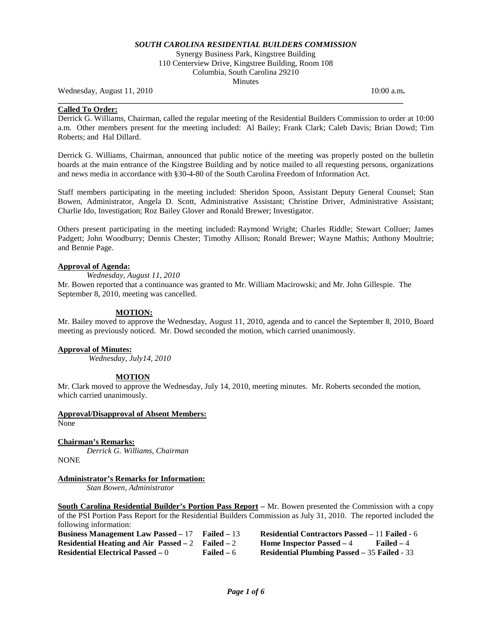## *SOUTH CAROLINA RESIDENTIAL BUILDERS COMMISSION*

Synergy Business Park, Kingstree Building 110 Centerview Drive, Kingstree Building, Room 108 Columbia, South Carolina 29210 **Minutes** 

**\_\_\_\_\_\_\_\_\_\_\_\_\_\_\_\_\_\_\_\_\_\_\_\_\_\_\_\_\_\_\_\_\_\_\_\_\_\_\_\_\_\_\_\_\_\_\_\_\_\_\_\_\_\_\_\_\_\_\_\_\_\_\_\_\_\_\_\_\_\_\_\_\_\_\_\_\_\_\_\_\_\_\_\_\_\_** 

Wednesday, August 11, 2010 **10:00 a.m. 10:00 a.m. 10:00 a.m.** 

### **Called To Order:**

Derrick G. Williams, Chairman, called the regular meeting of the Residential Builders Commission to order at 10:00 a.m. Other members present for the meeting included: Al Bailey; Frank Clark; Caleb Davis; Brian Dowd; Tim Roberts; and Hal Dillard.

Derrick G. Williams, Chairman, announced that public notice of the meeting was properly posted on the bulletin boards at the main entrance of the Kingstree Building and by notice mailed to all requesting persons, organizations and news media in accordance with §30-4-80 of the South Carolina Freedom of Information Act.

Staff members participating in the meeting included: Sheridon Spoon, Assistant Deputy General Counsel; Stan Bowen, Administrator, Angela D. Scott, Administrative Assistant; Christine Driver, Administrative Assistant; Charlie Ido, Investigation; Roz Bailey Glover and Ronald Brewer; Investigator.

Others present participating in the meeting included: Raymond Wright; Charles Riddle; Stewart Colluer; James Padgett; John Woodburry; Dennis Chester; Timothy Allison; Ronald Brewer; Wayne Mathis; Anthony Moultrie; and Bennie Page.

### **Approval of Agenda:**

*Wednesday, August 11, 2010*

Mr. Bowen reported that a continuance was granted to Mr. William Macirowski; and Mr. John Gillespie. The September 8, 2010, meeting was cancelled.

### **MOTION:**

Mr. Bailey moved to approve the Wednesday, August 11, 2010, agenda and to cancel the September 8, 2010, Board meeting as previously noticed. Mr. Dowd seconded the motion, which carried unanimously.

### **Approval of Minutes:**

*Wednesday, July14, 2010*

## **MOTION**

Mr. Clark moved to approve the Wednesday, July 14, 2010, meeting minutes. Mr. Roberts seconded the motion, which carried unanimously.

### **Approval/Disapproval of Absent Members:**

None

## **Chairman's Remarks:**

*Derrick G. Williams, Chairman* NONE

### **Administrator's Remarks for Information:**

*Stan Bowen, Administrator*

**South Carolina Residential Builder's Portion Pass Report –** Mr. Bowen presented the Commission with a copy of the PSI Portion Pass Report for the Residential Builders Commission as July 31, 2010. The reported included the following information:

**Business Management Law Passed –** 17 **Failed –** 13 **Residential Contractors Passed –** 11 **Failed -** 6 **Residential Heating and Air Passed – 2 Failed – 2 <br><b>Residential Electrical Passed –** 0 Failed – 6 **Residential Plumbing Passed – 35 Failed - 33**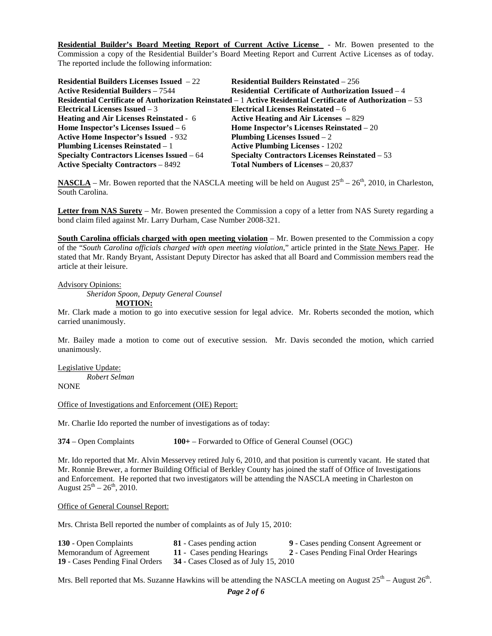**Residential Builder's Board Meeting Report of Current Active License** - Mr. Bowen presented to the Commission a copy of the Residential Builder's Board Meeting Report and Current Active Licenses as of today. The reported include the following information:

| <b>Residential Builders Licenses Issued</b> $-22$                                                            | <b>Residential Builders Reinstated – 256</b>                |  |
|--------------------------------------------------------------------------------------------------------------|-------------------------------------------------------------|--|
| <b>Active Residential Builders – 7544</b>                                                                    | <b>Residential Certificate of Authorization Issued</b> $-4$ |  |
| Residential Certificate of Authorization Reinstated – 1 Active Residential Certificate of Authorization – 53 |                                                             |  |
| Electrical Licenses Issued $-3$                                                                              | Electrical Licenses Reinstated $-6$                         |  |
| <b>Heating and Air Licenses Reinstated - 6</b>                                                               | Active Heating and Air Licenses $-829$                      |  |
| Home Inspector's Licenses Issued $-6$                                                                        | Home Inspector's Licenses Reinstated - 20                   |  |
| <b>Active Home Inspector's Issued - 932</b>                                                                  | Plumbing Licenses Issued $-2$                               |  |
| <b>Plumbing Licenses Reinstated – 1</b>                                                                      | <b>Active Plumbing Licenses - 1202</b>                      |  |
| Specialty Contractors Licenses Issued - 64                                                                   | <b>Specialty Contractors Licenses Reinstated – 53</b>       |  |
| <b>Active Specialty Contractors - 8492</b>                                                                   | Total Numbers of Licenses - 20,837                          |  |

**NASCLA** – Mr. Bowen reported that the NASCLA meeting will be held on August  $25^{th}$  –  $26^{th}$ , 2010, in Charleston. South Carolina.

**Letter from NAS Surety** – Mr. Bowen presented the Commission a copy of a letter from NAS Surety regarding a bond claim filed against Mr. Larry Durham, Case Number 2008-321.

**South Carolina officials charged with open meeting violation** – Mr. Bowen presented to the Commission a copy of the "*South Carolina officials charged with open meeting violation*," article printed in the State News Paper. He stated that Mr. Randy Bryant, Assistant Deputy Director has asked that all Board and Commission members read the article at their leisure.

### Advisory Opinions:

*Sheridon Spoon, Deputy General Counsel*

**MOTION:**

Mr. Clark made a motion to go into executive session for legal advice. Mr. Roberts seconded the motion, which carried unanimously.

Mr. Bailey made a motion to come out of executive session. Mr. Davis seconded the motion, which carried unanimously.

Legislative Update: *Robert Selman*

**NONE** 

### Office of Investigations and Enforcement (OIE) Report:

Mr. Charlie Ido reported the number of investigations as of today:

**374** – Open Complaints **100+** – Forwarded to Office of General Counsel (OGC)

Mr. Ido reported that Mr. Alvin Messervey retired July 6, 2010, and that position is currently vacant. He stated that Mr. Ronnie Brewer, a former Building Official of Berkley County has joined the staff of Office of Investigations and Enforcement. He reported that two investigators will be attending the NASCLA meeting in Charleston on August  $25^{th} - 26^{th}$ , 2010.

#### Office of General Counsel Report:

Mrs. Christa Bell reported the number of complaints as of July 15, 2010:

| 130 - Open Complaints                  | <b>81</b> - Cases pending action        | 9 - Cases pending Consent Agreement or |
|----------------------------------------|-----------------------------------------|----------------------------------------|
| Memorandum of Agreement                | 11 - Cases pending Hearings             | 2 - Cases Pending Final Order Hearings |
| <b>19 - Cases Pending Final Orders</b> | $34$ - Cases Closed as of July 15, 2010 |                                        |

Mrs. Bell reported that Ms. Suzanne Hawkins will be attending the NASCLA meeting on August  $25<sup>th</sup>$  – August  $26<sup>th</sup>$ .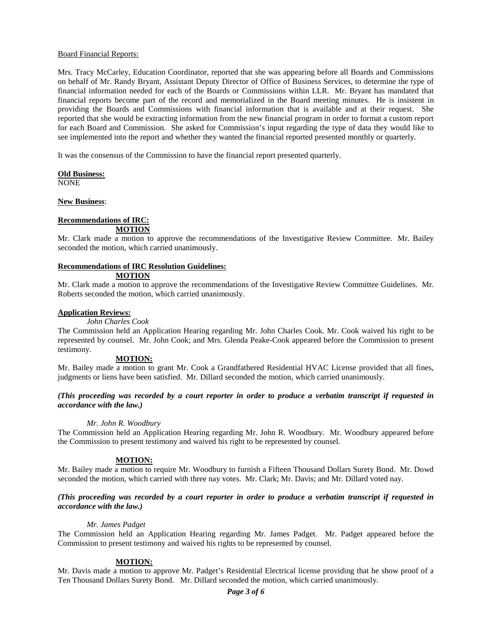### Board Financial Reports:

Mrs. Tracy McCarley, Education Coordinator, reported that she was appearing before all Boards and Commissions on behalf of Mr. Randy Bryant, Assistant Deputy Director of Office of Business Services, to determine the type of financial information needed for each of the Boards or Commissions within LLR. Mr. Bryant has mandated that financial reports become part of the record and memorialized in the Board meeting minutes. He is insistent in providing the Boards and Commissions with financial information that is available and at their request. She reported that she would be extracting information from the new financial program in order to format a custom report for each Board and Commission. She asked for Commission's input regarding the type of data they would like to see implemented into the report and whether they wanted the financial reported presented monthly or quarterly.

It was the consensus of the Commission to have the financial report presented quarterly.

#### **Old Business:**

NONE

### **New Business**:

# **Recommendations of IRC:**

**MOTION**

Mr. Clark made a motion to approve the recommendations of the Investigative Review Committee. Mr. Bailey seconded the motion, which carried unanimously.

### **Recommendations of IRC Resolution Guidelines:**

### **MOTION**

Mr. Clark made a motion to approve the recommendations of the Investigative Review Committee Guidelines. Mr. Roberts seconded the motion, which carried unanimously.

### **Application Reviews:**

*John Charles Cook*

The Commission held an Application Hearing regarding Mr. John Charles Cook. Mr. Cook waived his right to be represented by counsel. Mr. John Cook; and Mrs. Glenda Peake-Cook appeared before the Commission to present testimony.

### **MOTION:**

Mr. Bailey made a motion to grant Mr. Cook a Grandfathered Residential HVAC License provided that all fines, judgments or liens have been satisfied. Mr. Dillard seconded the motion, which carried unanimously.

*(This proceeding was recorded by a court reporter in order to produce a verbatim transcript if requested in accordance with the law.)*

### *Mr. John R. Woodbury*

The Commission held an Application Hearing regarding Mr. John R. Woodbury. Mr. Woodbury appeared before the Commission to present testimony and waived his right to be represented by counsel.

### **MOTION:**

Mr. Bailey made a motion to require Mr. Woodbury to furnish a Fifteen Thousand Dollars Surety Bond. Mr. Dowd seconded the motion, which carried with three nay votes. Mr. Clark; Mr. Davis; and Mr. Dillard voted nay.

### *(This proceeding was recorded by a court reporter in order to produce a verbatim transcript if requested in accordance with the law.)*

### *Mr. James Padget*

The Commission held an Application Hearing regarding Mr. James Padget. Mr. Padget appeared before the Commission to present testimony and waived his rights to be represented by counsel.

### **MOTION:**

Mr. Davis made a motion to approve Mr. Padget's Residential Electrical license providing that he show proof of a Ten Thousand Dollars Surety Bond. Mr. Dillard seconded the motion, which carried unanimously.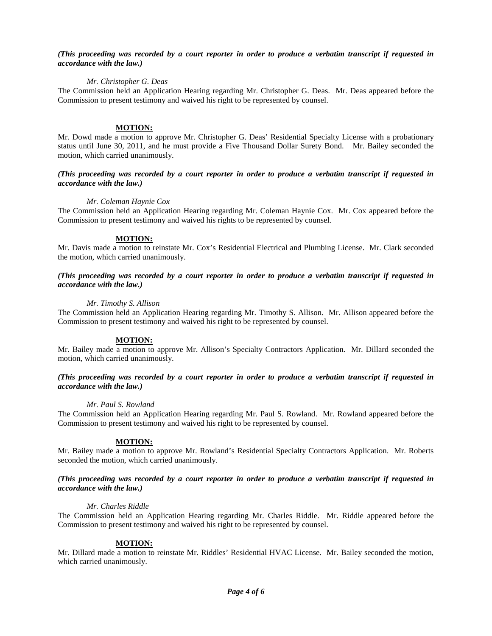## *(This proceeding was recorded by a court reporter in order to produce a verbatim transcript if requested in accordance with the law.)*

### *Mr. Christopher G. Deas*

The Commission held an Application Hearing regarding Mr. Christopher G. Deas. Mr. Deas appeared before the Commission to present testimony and waived his right to be represented by counsel.

### **MOTION:**

Mr. Dowd made a motion to approve Mr. Christopher G. Deas' Residential Specialty License with a probationary status until June 30, 2011, and he must provide a Five Thousand Dollar Surety Bond. Mr. Bailey seconded the motion, which carried unanimously.

### *(This proceeding was recorded by a court reporter in order to produce a verbatim transcript if requested in accordance with the law.)*

### *Mr. Coleman Haynie Cox*

The Commission held an Application Hearing regarding Mr. Coleman Haynie Cox. Mr. Cox appeared before the Commission to present testimony and waived his rights to be represented by counsel.

### **MOTION:**

Mr. Davis made a motion to reinstate Mr. Cox's Residential Electrical and Plumbing License. Mr. Clark seconded the motion, which carried unanimously.

### *(This proceeding was recorded by a court reporter in order to produce a verbatim transcript if requested in accordance with the law.)*

### *Mr. Timothy S. Allison*

The Commission held an Application Hearing regarding Mr. Timothy S. Allison. Mr. Allison appeared before the Commission to present testimony and waived his right to be represented by counsel.

### **MOTION:**

Mr. Bailey made a motion to approve Mr. Allison's Specialty Contractors Application. Mr. Dillard seconded the motion, which carried unanimously.

### *(This proceeding was recorded by a court reporter in order to produce a verbatim transcript if requested in accordance with the law.)*

### *Mr. Paul S. Rowland*

The Commission held an Application Hearing regarding Mr. Paul S. Rowland. Mr. Rowland appeared before the Commission to present testimony and waived his right to be represented by counsel.

## **MOTION:**

Mr. Bailey made a motion to approve Mr. Rowland's Residential Specialty Contractors Application. Mr. Roberts seconded the motion, which carried unanimously.

## *(This proceeding was recorded by a court reporter in order to produce a verbatim transcript if requested in accordance with the law.)*

### *Mr. Charles Riddle*

The Commission held an Application Hearing regarding Mr. Charles Riddle. Mr. Riddle appeared before the Commission to present testimony and waived his right to be represented by counsel.

## **MOTION:**

Mr. Dillard made a motion to reinstate Mr. Riddles' Residential HVAC License. Mr. Bailey seconded the motion, which carried unanimously.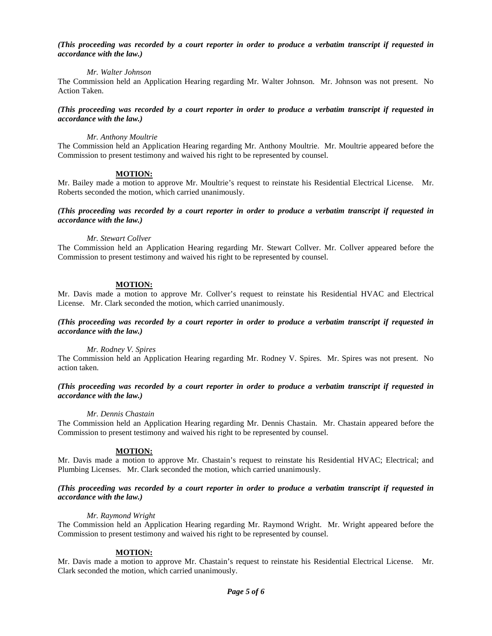### *(This proceeding was recorded by a court reporter in order to produce a verbatim transcript if requested in accordance with the law.)*

### *Mr. Walter Johnson*

The Commission held an Application Hearing regarding Mr. Walter Johnson. Mr. Johnson was not present. No Action Taken.

### *(This proceeding was recorded by a court reporter in order to produce a verbatim transcript if requested in accordance with the law.)*

### *Mr. Anthony Moultrie*

The Commission held an Application Hearing regarding Mr. Anthony Moultrie. Mr. Moultrie appeared before the Commission to present testimony and waived his right to be represented by counsel.

### **MOTION:**

Mr. Bailey made a motion to approve Mr. Moultrie's request to reinstate his Residential Electrical License. Mr. Roberts seconded the motion, which carried unanimously.

*(This proceeding was recorded by a court reporter in order to produce a verbatim transcript if requested in accordance with the law.)*

### *Mr. Stewart Collver*

The Commission held an Application Hearing regarding Mr. Stewart Collver. Mr. Collver appeared before the Commission to present testimony and waived his right to be represented by counsel.

## **MOTION:**

Mr. Davis made a motion to approve Mr. Collver's request to reinstate his Residential HVAC and Electrical License. Mr. Clark seconded the motion, which carried unanimously.

### *(This proceeding was recorded by a court reporter in order to produce a verbatim transcript if requested in accordance with the law.)*

### *Mr. Rodney V. Spires*

The Commission held an Application Hearing regarding Mr. Rodney V. Spires. Mr. Spires was not present. No action taken.

### *(This proceeding was recorded by a court reporter in order to produce a verbatim transcript if requested in accordance with the law.)*

### *Mr. Dennis Chastain*

The Commission held an Application Hearing regarding Mr. Dennis Chastain. Mr. Chastain appeared before the Commission to present testimony and waived his right to be represented by counsel.

## **MOTION:**

Mr. Davis made a motion to approve Mr. Chastain's request to reinstate his Residential HVAC; Electrical; and Plumbing Licenses. Mr. Clark seconded the motion, which carried unanimously.

### *(This proceeding was recorded by a court reporter in order to produce a verbatim transcript if requested in accordance with the law.)*

## *Mr. Raymond Wright*

The Commission held an Application Hearing regarding Mr. Raymond Wright. Mr. Wright appeared before the Commission to present testimony and waived his right to be represented by counsel.

## **MOTION:**

Mr. Davis made a motion to approve Mr. Chastain's request to reinstate his Residential Electrical License. Mr. Clark seconded the motion, which carried unanimously.